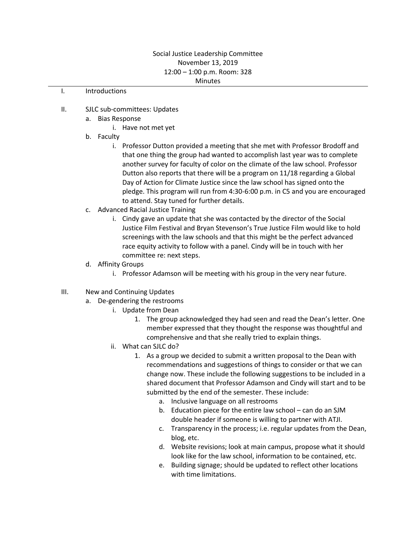## Social Justice Leadership Committee November 13, 2019 12:00 – 1:00 p.m. Room: 328 **Minutes**

## I. Introductions

- II. SJLC sub-committees: Updates
	- a. Bias Response
		- i. Have not met yet
	- b. Faculty
		- i. Professor Dutton provided a meeting that she met with Professor Brodoff and that one thing the group had wanted to accomplish last year was to complete another survey for faculty of color on the climate of the law school. Professor Dutton also reports that there will be a program on 11/18 regarding a Global Day of Action for Climate Justice since the law school has signed onto the pledge. This program will run from 4:30-6:00 p.m. in C5 and you are encouraged to attend. Stay tuned for further details.
	- c. Advanced Racial Justice Training
		- i. Cindy gave an update that she was contacted by the director of the Social Justice Film Festival and Bryan Stevenson's True Justice Film would like to hold screenings with the law schools and that this might be the perfect advanced race equity activity to follow with a panel. Cindy will be in touch with her committee re: next steps.
	- d. Affinity Groups
		- i. Professor Adamson will be meeting with his group in the very near future.
- III. New and Continuing Updates
	- a. De-gendering the restrooms
		- i. Update from Dean
			- 1. The group acknowledged they had seen and read the Dean's letter. One member expressed that they thought the response was thoughtful and comprehensive and that she really tried to explain things.
		- ii. What can SJLC do?
			- 1. As a group we decided to submit a written proposal to the Dean with recommendations and suggestions of things to consider or that we can change now. These include the following suggestions to be included in a shared document that Professor Adamson and Cindy will start and to be submitted by the end of the semester. These include:
				- a. Inclusive language on all restrooms
				- b. Education piece for the entire law school can do an SJM double header if someone is willing to partner with ATJI.
				- c. Transparency in the process; i.e. regular updates from the Dean, blog, etc.
				- d. Website revisions; look at main campus, propose what it should look like for the law school, information to be contained, etc.
				- e. Building signage; should be updated to reflect other locations with time limitations.